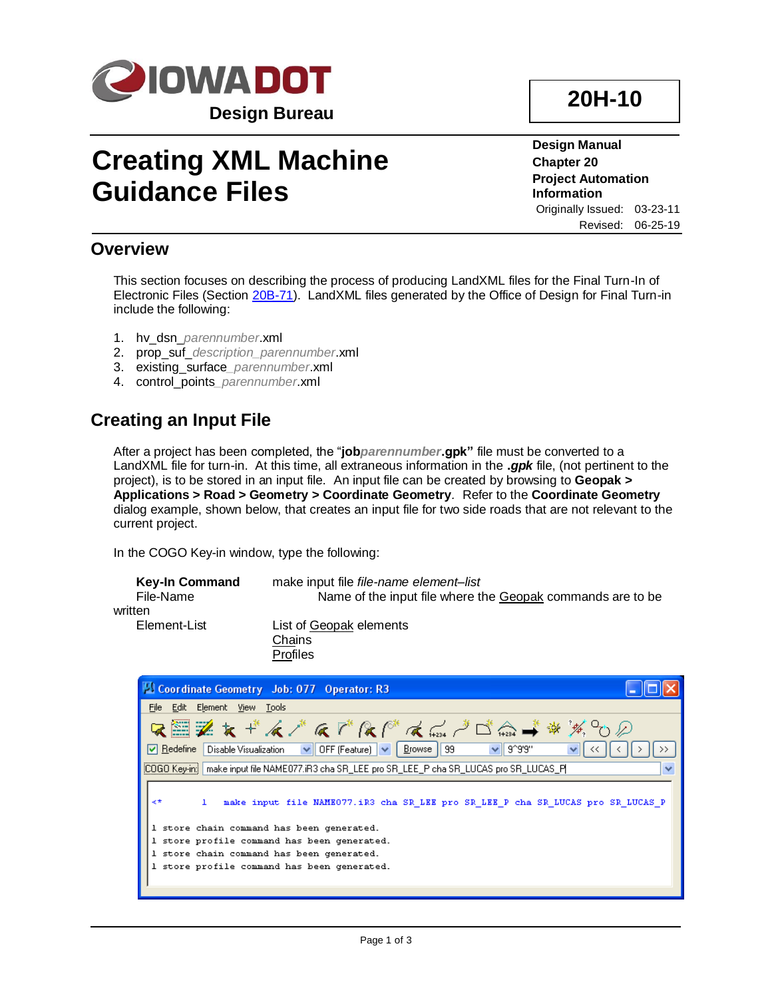

# **Creating XML Machine Guidance Files**

**20H-10**

**Design Manual Chapter 20 Project Automation Information** Originally Issued: 03-23-11 Revised: 06-25-19

#### **Overview**

This section focuses on describing the process of producing LandXML files for the Final Turn-In of Electronic Files (Section [20B-71\)](20B-71.pdf). LandXML files generated by the Office of Design for Final Turn-in include the following:

- 1. hv\_dsn\_*parennumber*.xml
- 2. prop\_suf\_*description\_parennumber*.xml
- 3. existing\_surface*\_parennumber*.xml
- 4. control\_points*\_parennumber*.xml

## **Creating an Input File**

After a project has been completed, the "**job***parennumber***.gpk"** file must be converted to a LandXML file for turn-in. At this time, all extraneous information in the **.***gpk* file, (not pertinent to the project), is to be stored in an input file. An input file can be created by browsing to **Geopak > Applications > Road > Geometry > Coordinate Geometry***.* Refer to the **Coordinate Geometry** dialog example, shown below, that creates an input file for two side roads that are not relevant to the current project.

In the COGO Key-in window, type the following:

| <b>Key-In Command</b><br>File-Name<br>written | make input file <i>file-name element-list</i><br>Name of the input file where the Geopak commands are to be |
|-----------------------------------------------|-------------------------------------------------------------------------------------------------------------|
| Element-List                                  | List of Geopak elements<br>Chains<br><b>Profiles</b>                                                        |

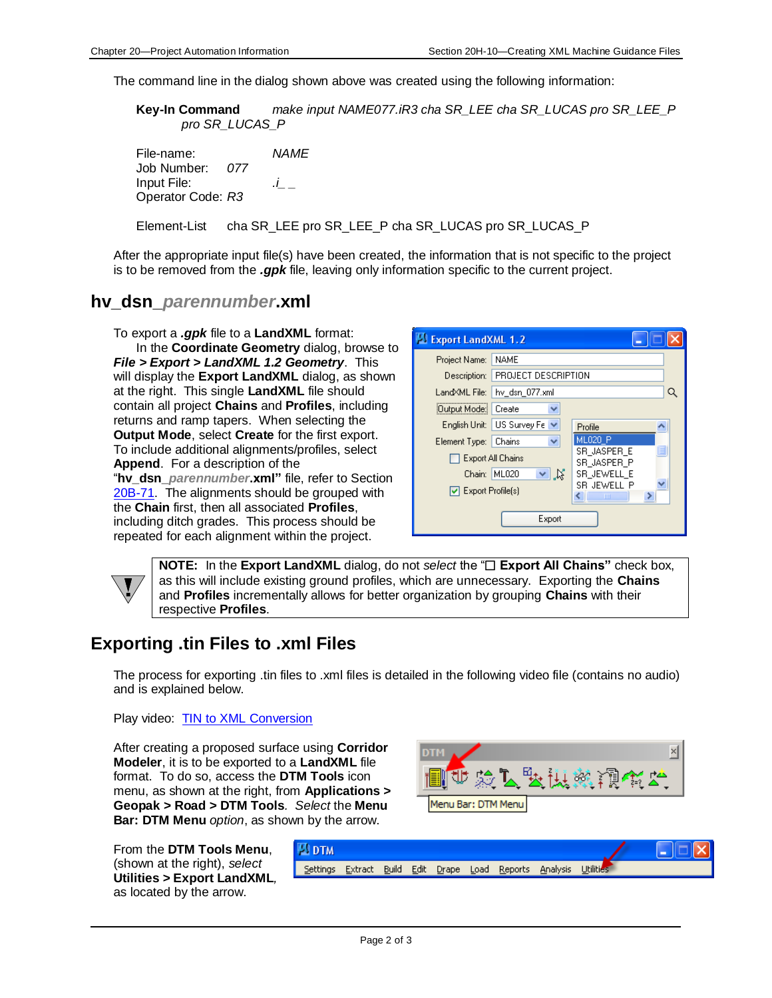The command line in the dialog shown above was created using the following information:

**Key-In Command** *make input NAME077.iR3 cha SR\_LEE cha SR\_LUCAS pro SR\_LEE\_P pro SR\_LUCAS\_P* 

File-name: *NAME* Job Number: *077* Input File: *.i\_ \_*  Operator Code: *R3*

Element-List cha SR\_LEE pro SR\_LEE\_P cha SR\_LUCAS pro SR\_LUCAS\_P

After the appropriate input file(s) have been created, the information that is not specific to the project is to be removed from the *.gpk* file, leaving only information specific to the current project.

#### **hv\_dsn\_***parennumber***.xml**

To export a *.gpk* file to a **LandXML** format: In the **Coordinate Geometry** dialog, browse to *File > Export > LandXML 1.2 Geometry*. This will display the **Export LandXML** dialog, as shown at the right. This single **LandXML** file should contain all project **Chains** and **Profiles**, including returns and ramp tapers. When selecting the **Output Mode**, select **Create** for the first export. To include additional alignments/profiles, select **Append**. For a description of the "**hv\_dsn\_***parennumber***.xml"** file, refer to Section [20B-71.](20B-71.pdf) The alignments should be grouped with the **Chain** first, then all associated **Profiles**, including ditch grades. This process should be repeated for each alignment within the project.

| Export LandXML 1.2 |                              |                            |          |  |
|--------------------|------------------------------|----------------------------|----------|--|
| Project Name:      | NAME                         |                            |          |  |
| Description:       | PROJECT DESCRIPTION          |                            |          |  |
| LandXML File:      | hv dsn 077.xml               |                            |          |  |
| Output Mode:       | Create<br>₩                  |                            |          |  |
|                    | English Unit: US Survey Fe ∨ | Profile                    |          |  |
| Element Type:      | v<br>Chains                  | <b>ML020 P</b>             |          |  |
| Export All Chains  |                              | SR JASPER E<br>SR JASPER P | $\equiv$ |  |
| Chain:             | N<br>ML020                   | SR_JEWELL_E                |          |  |
| Export Profile(s)  |                              | SR JEWELL P<br>ШI          |          |  |
| Export             |                              |                            |          |  |

**NOTE:** In the **Export LandXML** dialog, do not *select* the " $\Box$  **Export All Chains**" check box, as this will include existing ground profiles, which are unnecessary. Exporting the **Chains** and **Profiles** incrementally allows for better organization by grouping **Chains** with their respective **Profiles**.

### **Exporting .tin Files to .xml Files**

The process for exporting .tin files to .xml files is detailed in the following video file (contains no audio) and is explained below.

Play video: [TIN to XML Conversion](../videos/Ustn_TIN_XML_Conversion)

After creating a proposed surface using **Corridor Modeler**, it is to be exported to a **LandXML** file format. To do so, access the **DTM Tools** icon menu, as shown at the right, from **Applications > Geopak > Road > DTM Tools***. Select* the **Menu Bar: DTM Menu** *option*, as shown by the arrow.

×l 医致斑鬣视觉的 Menu Bar: DTM Menu

From the **DTM Tools Menu**, (shown at the right), *select*  **Utilities > Export LandXML***,*  as located by the arrow.

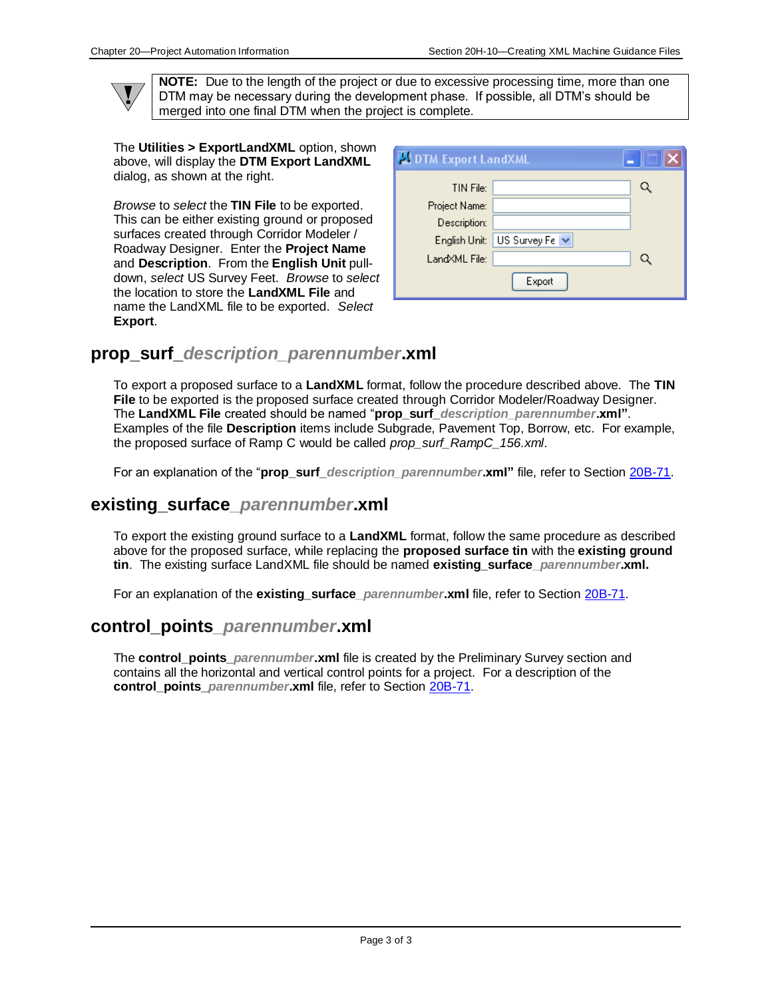$\mathbf{V}$ 

**NOTE:** Due to the length of the project or due to excessive processing time, more than one DTM may be necessary during the development phase. If possible, all DTM's should be merged into one final DTM when the project is complete.

The **Utilities > ExportLandXML** option, shown above, will display the **DTM Export LandXML**  dialog, as shown at the right.

*Browse* to *select* the **TIN File** to be exported. This can be either existing ground or proposed surfaces created through Corridor Modeler / Roadway Designer. Enter the **Project Name** and **Description**. From the **English Unit** pulldown, *select* US Survey Feet. *Browse* to *select*  the location to store the **LandXML File** and name the LandXML file to be exported. *Select*  **Export**.

| DTM Export LandXML |                |           |
|--------------------|----------------|-----------|
| TIN File:          |                | Q         |
| Project Name:      |                |           |
| Description:       |                |           |
| English Unit:      | US Survey Fe V |           |
| LandXML File:      |                | $\bullet$ |
|                    | Export         |           |

### **prop\_surf\_***description\_parennumber***.xml**

To export a proposed surface to a **LandXML** format, follow the procedure described above. The **TIN File** to be exported is the proposed surface created through Corridor Modeler/Roadway Designer. The **LandXML File** created should be named "**prop\_surf\_***description\_parennumber***.xml"**. Examples of the file **Description** items include Subgrade, Pavement Top, Borrow, etc. For example, the proposed surface of Ramp C would be called *prop\_surf\_RampC\_156.xml*.

For an explanation of the "**prop\_surf\_***description\_parennumber***.xml"** file, refer to Section [20B-71.](20B-71.pdf)

#### **existing\_surface***\_parennumber***.xml**

To export the existing ground surface to a **LandXML** format, follow the same procedure as described above for the proposed surface, while replacing the **proposed surface tin** with the **existing ground tin**. The existing surface LandXML file should be named **existing\_surface***\_parennumber***.xml.** 

For an explanation of the **existing surface** *parennumber* xml file, refer to Section [20B-71.](20B-71.pdf)

#### **control\_points***\_parennumber***.xml**

The **control\_points\_***parennumber***.xml** file is created by the Preliminary Survey section and contains all the horizontal and vertical control points for a project. For a description of the **control\_points\_***parennumber***.xml** file, refer to Section [20B-71.](20B-71.pdf)